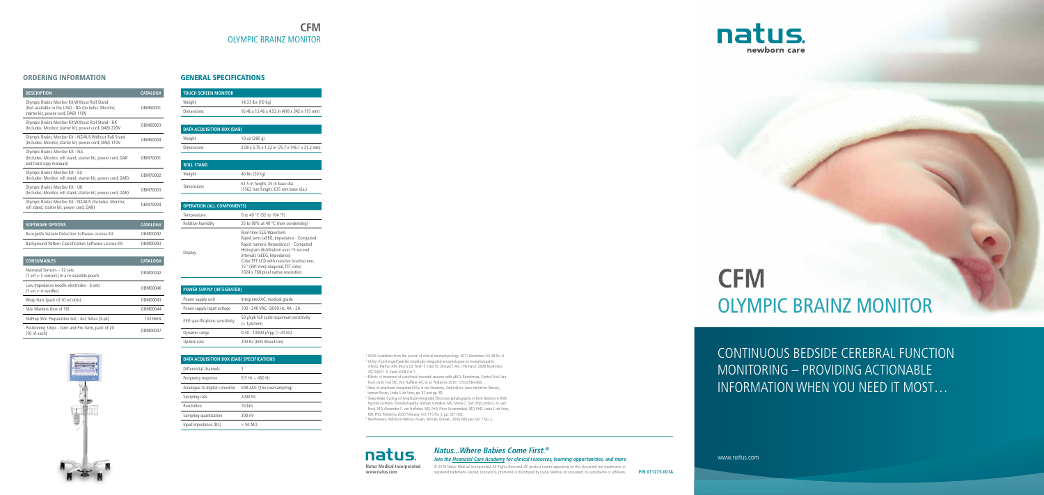# **CFM** OLYMPIC BRAINZ MONITOR

CONTINUOUS BEDSIDE CEREBRAL FUNCTION MONITORING – PROVIDING ACTIONABLE INFORMATION WHEN YOU NEED IT MOST…

www.natus.com

### ORDERING INFORMATION

| <b>DESCRIPTION</b>                                                                                                                         | <b>CATALOG#</b> |
|--------------------------------------------------------------------------------------------------------------------------------------------|-----------------|
| Olympic Brainz Monitor Kit Without Roll Stand<br>(Not available in the USA) - NA (Includes: Monitor,<br>starter kit, power cord, DAB) 110V | OBM60001        |
| Olympic Brainz Monitor Kit Without Roll Stand - UK<br>(Includes: Monitor, starter kit, power cord, DAB) 220V                               | OBM60003        |
| Olympic Brainz Monitor Kit - NZ/AUS Wtihout Roll Stand<br>(Includes: Monitor, starter kit, power cord, DAB) 110V                           | OBM60004        |
| Olympic Brainz Monitor Kit - NA<br>(Includes: Monitor, roll stand, starter kit, power cord, DAB<br>and hard copy manuals)                  | OBM70001        |
| Olympic Brainz Monitor Kit - EU<br>(Includes: Monitor, roll stand, starter kit, power cord, DAB)                                           | OBM70002        |
| Olympic Brainz Monitor Kit - UK<br>(Includes: Monitor, roll stand, starter kit, power cord, DAB)                                           | OBM70003        |
| Olympic Brainz Monitor Kit - NZ/AUS (Includes: Monitor,<br>roll stand, starter kit, power cord, DAB)                                       | OBM70004        |
|                                                                                                                                            |                 |

| <b>SOFTWARE OPTIONS</b>                                | CATALOG# |
|--------------------------------------------------------|----------|
| RecogniZe Seizure Detection Software License Kit       | OBM00092 |
| Background Pattern Classification Software License Kit | OBM00093 |
|                                                        |          |

| <b>CONSUMABLES</b>                                                                         | CATALOG# |
|--------------------------------------------------------------------------------------------|----------|
| Neonatal Sensors - 12 sets<br>$(1 \text{ set} = 5 \text{ sensors})$ in a re-sealable pouch | OBM00042 |
| Low Impedance needle electrodes - 6 sets<br>$(1 \text{ set} = 4 \text{ needed} )$          | OBM00046 |
| Wrap Hats (pack of 10 w/ dots)                                                             | OBM00043 |
| Skin Markers (box of 10)                                                                   | OBM00044 |
| NuPrep Skin Preparation Gel - 4oz Tubes (3-pk)                                             | 102566N  |
| Positioning Strips - Term and Pre-Term, pack of 20<br>$(10$ of each)                       | OBM00047 |



### GENERAL SPECIFICATIONS

<sup>1</sup> ACNS Guidelines from the journal of clinical neurophysiology. 2011 December; Vol 28 No. 6. <sup>2</sup> Utility of prolonged bedside amplitude-integrated encephalogram in encephalopathic infants. Mathur AM, Morris LD, Teteh F, Inder TE, Zempel J. Am J Perinatol. 2008 November; 25(10):611-5. Epub 2008 Oct 7.

| <b>TOUCH SCREEN MONITOR</b> |                                              |
|-----------------------------|----------------------------------------------|
| Weight                      | 14.33 lbs (10 kg)                            |
| <b>Dimensions</b>           | 16.46 x 13.46 x 4.53 in (418 x 342 x 115 mm) |
|                             |                                              |

<sup>3</sup> Effects of treatment of subclinical neonatal seizures with aEEG: Randomize, Control Trial. Van Rooij LGM, Tost MC, Van Huffelen AC, et al. Pediatrics 2010; 125:e358-e366.

| <b>DATA ACOUISITION BOX (DAB)</b> |                                                |
|-----------------------------------|------------------------------------------------|
| Weight                            | 10 oz $(280 \text{ q})$                        |
| <b>Dimensions</b>                 | 2.98 x 5.75 x 1.23 in (75.7 x 146.1 x 31.2 mm) |

| <b>ROLL STAND</b> |                                                                       |
|-------------------|-----------------------------------------------------------------------|
| Weight            | 40 lbs (20 kg)                                                        |
| Dimensions        | 61.5 in height, 25 in base dia.<br>(1562 mm height, 635 mm base dia.) |

<sup>5</sup> Sleep-Wake Cycling on Amplitude-Integrated Electroencephalography in Term Newborns With Hypoxic-Ischemic Encephalopathy. Damjan Osredkar, MD, Mona C. Toet, MD, Linda G. M. van Rooij, MD, Alexander C. van Huffelen, MD, PhD, Floris Groenendaal, MD, PhD, Linda S. de Vries, MD, PhD. Pediatrics 2005 February; Vol. 115 No. 2, pp. 327-332.

| <b>OPERATION (ALL COMPONENTS)</b> |                                                                                                                                                                                                                                                                                                          |
|-----------------------------------|----------------------------------------------------------------------------------------------------------------------------------------------------------------------------------------------------------------------------------------------------------------------------------------------------------|
| Temperature                       | 0 to 40 °C (32 to 104 °F)                                                                                                                                                                                                                                                                                |
| Relative humidity                 | 25 to 90% at 40 $\degree$ C (non-condensing)                                                                                                                                                                                                                                                             |
| Display                           | Real-time EEG Waveform<br>Rapid pens (aEEG, Impedance - Computed<br>Rapid numeric (Impedance) - Computed<br>Histogram distribution over 15-second<br>intervals (aEEG, Impedance)<br>Color TFT LCD with resistive touchscreen,<br>15" (381 mm) diagonal, TFT color,<br>1024 x 768 pixel native resolution |

natus. **Natus Medical Incorporated www.natus.com**

| <b>POWER SUPPLY (INTEGRATED)</b>      |                                                            |  |
|---------------------------------------|------------------------------------------------------------|--|
| Power supply unit                     | Integrated AC, medical grade                               |  |
| Power supply input voltage            | 100 - 240 VAC, 50/60 Hz, 4A - 2A                           |  |
| <b>EEG</b> specifications sensitivity | 50 µVpk full scale maximum sensitivity<br>$(< 1 \mu V/mm)$ |  |
| Dynamic range                         | $0.30 - 10000$ µVpp (1-20 Hz)                              |  |
| Update rate                           | 200 Hz (EEG Waveform)                                      |  |

| DATA ACQUISITION BOX (DAB) SPECIFICATIONS |                            |
|-------------------------------------------|----------------------------|
| Differential channels                     | 3                          |
| Frequency response                        | $0.5$ Hz $\sim$ 450 Hz     |
| Analogue to digital converter             | SAR ADC (16x oversampling) |
| Sampling rate                             | 2000 Hz                    |
| Resolution                                | 16 hits                    |
| Sampling quantization                     | 300 nV                     |
| Input impedance (DC)                      | $>$ 50 MO                  |

<sup>4</sup> Atlas of amplitude integrated EEGs in the Newborn, 2nd Edition. Lena Hellström-Westas, Ingmar Rosen, Linda S. de Vries, pp. 81 and pp. 82.

<sup>6</sup> NeoReviews. Hellstrom-Westas, Rosen, deVries, Greisen. 2006 February; Vol 7 No. 2.

**P/N 011273-001A**

registered trademarks owned, licensed to, promoted or distributed by Natus Medical Incorporated, its subsidiaries or affiliates.



© 2016 Natus Medical Incorporated. All Rights Reserved. All product names appearing on this document are trademarks or **Join the Neonatal Care Academy for clinical resources, learning opportunities, and more**

# **Natus...Where Babies Come First.®**

# **CFM** OLYMPIC BRAINZ MONITOR